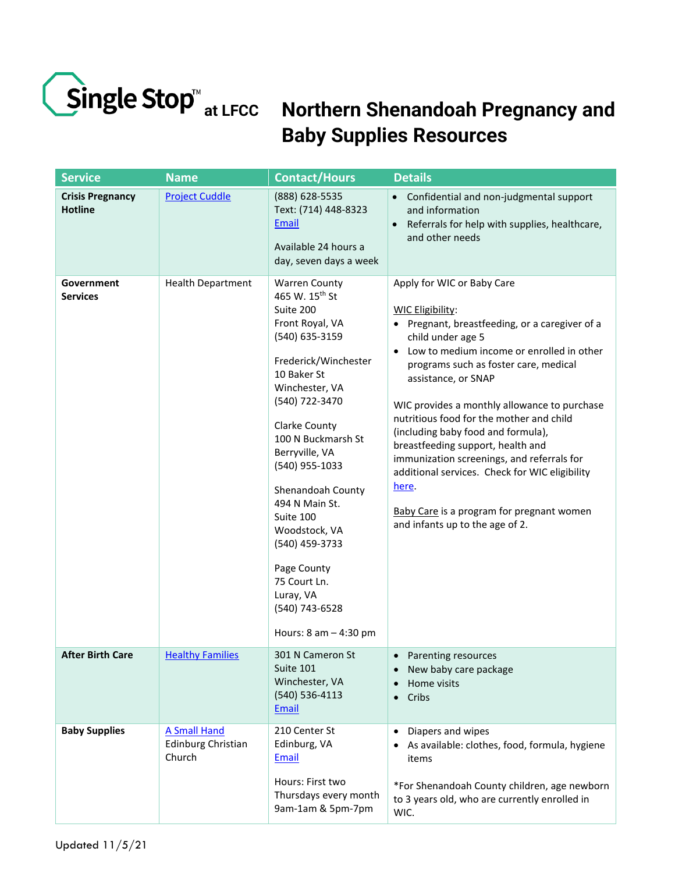

## **Northern Shenandoah Pregnancy and Baby Supplies Resources**

| <b>Service</b>                            | <b>Name</b>                                                | <b>Contact/Hours</b>                                                                                                                                                                                                                                                                                                                                                                                                                                | <b>Details</b>                                                                                                                                                                                                                                                                                                                                                                                                                                                                                                                                                                                                         |
|-------------------------------------------|------------------------------------------------------------|-----------------------------------------------------------------------------------------------------------------------------------------------------------------------------------------------------------------------------------------------------------------------------------------------------------------------------------------------------------------------------------------------------------------------------------------------------|------------------------------------------------------------------------------------------------------------------------------------------------------------------------------------------------------------------------------------------------------------------------------------------------------------------------------------------------------------------------------------------------------------------------------------------------------------------------------------------------------------------------------------------------------------------------------------------------------------------------|
| <b>Crisis Pregnancy</b><br><b>Hotline</b> | <b>Project Cuddle</b>                                      | (888) 628-5535<br>Text: (714) 448-8323<br>Email<br>Available 24 hours a<br>day, seven days a week                                                                                                                                                                                                                                                                                                                                                   | Confidential and non-judgmental support<br>and information<br>Referrals for help with supplies, healthcare,<br>and other needs                                                                                                                                                                                                                                                                                                                                                                                                                                                                                         |
| Government<br><b>Services</b>             | <b>Health Department</b>                                   | <b>Warren County</b><br>465 W. 15 <sup>th</sup> St<br>Suite 200<br>Front Royal, VA<br>(540) 635-3159<br>Frederick/Winchester<br>10 Baker St<br>Winchester, VA<br>(540) 722-3470<br><b>Clarke County</b><br>100 N Buckmarsh St<br>Berryville, VA<br>(540) 955-1033<br>Shenandoah County<br>494 N Main St.<br>Suite 100<br>Woodstock, VA<br>(540) 459-3733<br>Page County<br>75 Court Ln.<br>Luray, VA<br>(540) 743-6528<br>Hours: $8$ am $-$ 4:30 pm | Apply for WIC or Baby Care<br><b>WIC Eligibility:</b><br>• Pregnant, breastfeeding, or a caregiver of a<br>child under age 5<br>Low to medium income or enrolled in other<br>$\bullet$<br>programs such as foster care, medical<br>assistance, or SNAP<br>WIC provides a monthly allowance to purchase<br>nutritious food for the mother and child<br>(including baby food and formula),<br>breastfeeding support, health and<br>immunization screenings, and referrals for<br>additional services. Check for WIC eligibility<br>here.<br>Baby Care is a program for pregnant women<br>and infants up to the age of 2. |
| <b>After Birth Care</b>                   | <b>Healthy Families</b>                                    | 301 N Cameron St<br>Suite 101<br>Winchester, VA<br>$(540) 536 - 4113$<br>Email                                                                                                                                                                                                                                                                                                                                                                      | Parenting resources<br>$\bullet$<br>New baby care package<br>Home visits<br>Cribs<br>$\bullet$                                                                                                                                                                                                                                                                                                                                                                                                                                                                                                                         |
| <b>Baby Supplies</b>                      | <b>A Small Hand</b><br><b>Edinburg Christian</b><br>Church | 210 Center St<br>Edinburg, VA<br>Email<br>Hours: First two<br>Thursdays every month<br>9am-1am & 5pm-7pm                                                                                                                                                                                                                                                                                                                                            | Diapers and wipes<br>$\bullet$<br>As available: clothes, food, formula, hygiene<br>items<br>*For Shenandoah County children, age newborn<br>to 3 years old, who are currently enrolled in<br>WIC.                                                                                                                                                                                                                                                                                                                                                                                                                      |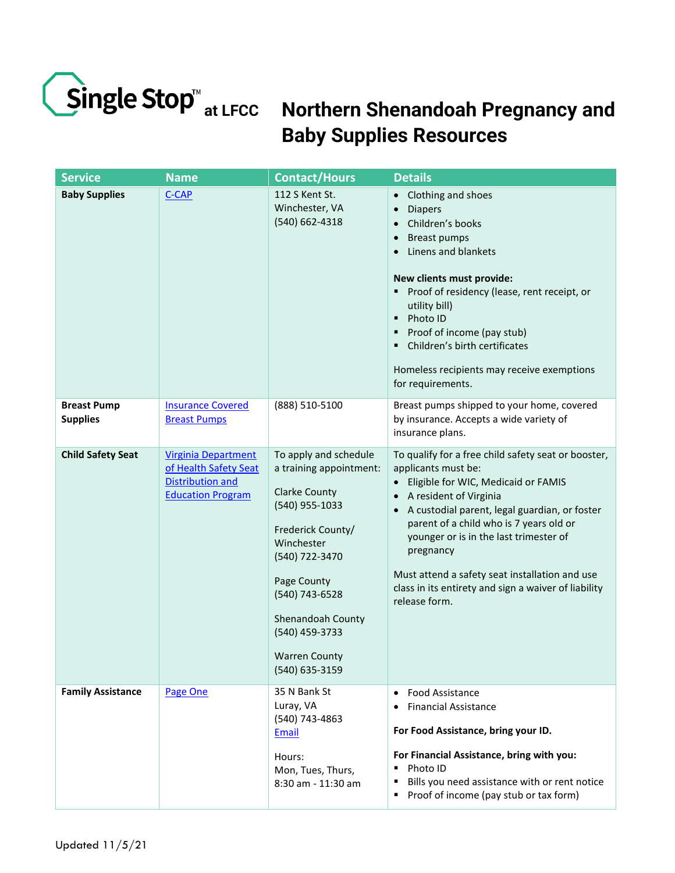

## **Northern Shenandoah Pregnancy and at LFCC Baby Supplies Resources**

| <b>Service</b>                        | <b>Name</b>                                                                                                | <b>Contact/Hours</b>                                                                                                                                                                                                                                              | <b>Details</b>                                                                                                                                                                                                                                                                                                                                                                                                                         |
|---------------------------------------|------------------------------------------------------------------------------------------------------------|-------------------------------------------------------------------------------------------------------------------------------------------------------------------------------------------------------------------------------------------------------------------|----------------------------------------------------------------------------------------------------------------------------------------------------------------------------------------------------------------------------------------------------------------------------------------------------------------------------------------------------------------------------------------------------------------------------------------|
| <b>Baby Supplies</b>                  | <b>C-CAP</b>                                                                                               | 112 S Kent St.<br>Winchester, VA<br>(540) 662-4318                                                                                                                                                                                                                | Clothing and shoes<br>$\bullet$<br><b>Diapers</b><br>$\bullet$<br>Children's books<br><b>Breast pumps</b><br>$\bullet$<br>Linens and blankets<br>$\bullet$<br>New clients must provide:<br>Proof of residency (lease, rent receipt, or<br>٠<br>utility bill)<br>Photo ID<br>$\blacksquare$<br>Proof of income (pay stub)<br>Children's birth certificates<br>٠<br>Homeless recipients may receive exemptions<br>for requirements.      |
| <b>Breast Pump</b><br><b>Supplies</b> | <b>Insurance Covered</b><br><b>Breast Pumps</b>                                                            | (888) 510-5100                                                                                                                                                                                                                                                    | Breast pumps shipped to your home, covered<br>by insurance. Accepts a wide variety of<br>insurance plans.                                                                                                                                                                                                                                                                                                                              |
| <b>Child Safety Seat</b>              | <b>Virginia Department</b><br>of Health Safety Seat<br><b>Distribution and</b><br><b>Education Program</b> | To apply and schedule<br>a training appointment:<br><b>Clarke County</b><br>(540) 955-1033<br>Frederick County/<br>Winchester<br>(540) 722-3470<br>Page County<br>(540) 743-6528<br>Shenandoah County<br>(540) 459-3733<br><b>Warren County</b><br>(540) 635-3159 | To qualify for a free child safety seat or booster,<br>applicants must be:<br>Eligible for WIC, Medicaid or FAMIS<br>$\bullet$<br>A resident of Virginia<br>A custodial parent, legal guardian, or foster<br>parent of a child who is 7 years old or<br>younger or is in the last trimester of<br>pregnancy<br>Must attend a safety seat installation and use<br>class in its entirety and sign a waiver of liability<br>release form. |
| <b>Family Assistance</b>              | Page One                                                                                                   | 35 N Bank St<br>Luray, VA<br>(540) 743-4863<br>Email<br>Hours:<br>Mon, Tues, Thurs,<br>8:30 am - 11:30 am                                                                                                                                                         | Food Assistance<br>$\bullet$<br><b>Financial Assistance</b><br>$\bullet$<br>For Food Assistance, bring your ID.<br>For Financial Assistance, bring with you:<br>Photo ID<br>٠<br>Bills you need assistance with or rent notice<br>٠<br>Proof of income (pay stub or tax form)<br>п                                                                                                                                                     |